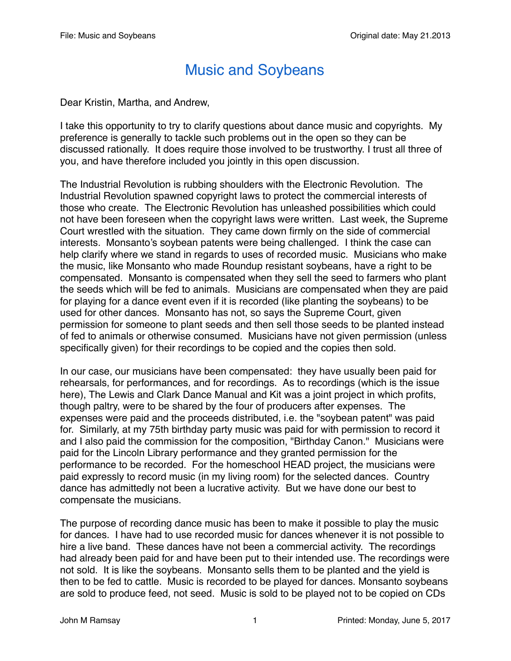## Music and Soybeans

Dear Kristin, Martha, and Andrew,

I take this opportunity to try to clarify questions about dance music and copyrights. My preference is generally to tackle such problems out in the open so they can be discussed rationally. It does require those involved to be trustworthy. I trust all three of you, and have therefore included you jointly in this open discussion.

The Industrial Revolution is rubbing shoulders with the Electronic Revolution. The Industrial Revolution spawned copyright laws to protect the commercial interests of those who create. The Electronic Revolution has unleashed possibilities which could not have been foreseen when the copyright laws were written. Last week, the Supreme Court wrestled with the situation. They came down firmly on the side of commercial interests. Monsanto's soybean patents were being challenged. I think the case can help clarify where we stand in regards to uses of recorded music. Musicians who make the music, like Monsanto who made Roundup resistant soybeans, have a right to be compensated. Monsanto is compensated when they sell the seed to farmers who plant the seeds which will be fed to animals. Musicians are compensated when they are paid for playing for a dance event even if it is recorded (like planting the soybeans) to be used for other dances. Monsanto has not, so says the Supreme Court, given permission for someone to plant seeds and then sell those seeds to be planted instead of fed to animals or otherwise consumed. Musicians have not given permission (unless specifically given) for their recordings to be copied and the copies then sold.

In our case, our musicians have been compensated: they have usually been paid for rehearsals, for performances, and for recordings. As to recordings (which is the issue here), The Lewis and Clark Dance Manual and Kit was a joint project in which profits, though paltry, were to be shared by the four of producers after expenses. The expenses were paid and the proceeds distributed, i.e. the "soybean patent" was paid for. Similarly, at my 75th birthday party music was paid for with permission to record it and I also paid the commission for the composition, "Birthday Canon." Musicians were paid for the Lincoln Library performance and they granted permission for the performance to be recorded. For the homeschool HEAD project, the musicians were paid expressly to record music (in my living room) for the selected dances. Country dance has admittedly not been a lucrative activity. But we have done our best to compensate the musicians.

The purpose of recording dance music has been to make it possible to play the music for dances. I have had to use recorded music for dances whenever it is not possible to hire a live band. These dances have not been a commercial activity. The recordings had already been paid for and have been put to their intended use. The recordings were not sold. It is like the soybeans. Monsanto sells them to be planted and the yield is then to be fed to cattle. Music is recorded to be played for dances. Monsanto soybeans are sold to produce feed, not seed. Music is sold to be played not to be copied on CDs